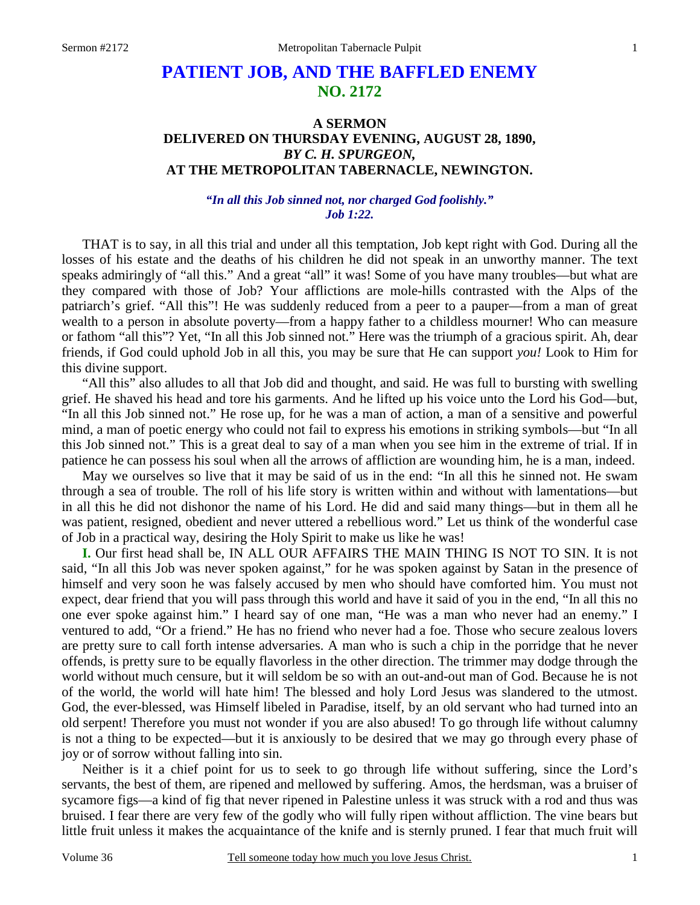# **PATIENT JOB, AND THE BAFFLED ENEMY NO. 2172**

### **A SERMON DELIVERED ON THURSDAY EVENING, AUGUST 28, 1890,**  *BY C. H. SPURGEON,*  **AT THE METROPOLITAN TABERNACLE, NEWINGTON.**

#### *"In all this Job sinned not, nor charged God foolishly." Job 1:22.*

THAT is to say, in all this trial and under all this temptation, Job kept right with God. During all the losses of his estate and the deaths of his children he did not speak in an unworthy manner. The text speaks admiringly of "all this." And a great "all" it was! Some of you have many troubles—but what are they compared with those of Job? Your afflictions are mole-hills contrasted with the Alps of the patriarch's grief. "All this"! He was suddenly reduced from a peer to a pauper—from a man of great wealth to a person in absolute poverty—from a happy father to a childless mourner! Who can measure or fathom "all this"? Yet, "In all this Job sinned not." Here was the triumph of a gracious spirit. Ah, dear friends, if God could uphold Job in all this, you may be sure that He can support *you!* Look to Him for this divine support.

 "All this" also alludes to all that Job did and thought, and said. He was full to bursting with swelling grief. He shaved his head and tore his garments. And he lifted up his voice unto the Lord his God—but, "In all this Job sinned not." He rose up, for he was a man of action, a man of a sensitive and powerful mind, a man of poetic energy who could not fail to express his emotions in striking symbols—but "In all this Job sinned not." This is a great deal to say of a man when you see him in the extreme of trial. If in patience he can possess his soul when all the arrows of affliction are wounding him, he is a man, indeed.

 May we ourselves so live that it may be said of us in the end: "In all this he sinned not. He swam through a sea of trouble. The roll of his life story is written within and without with lamentations—but in all this he did not dishonor the name of his Lord. He did and said many things—but in them all he was patient, resigned, obedient and never uttered a rebellious word." Let us think of the wonderful case of Job in a practical way, desiring the Holy Spirit to make us like he was!

**I.** Our first head shall be, IN ALL OUR AFFAIRS THE MAIN THING IS NOT TO SIN. It is not said, "In all this Job was never spoken against," for he was spoken against by Satan in the presence of himself and very soon he was falsely accused by men who should have comforted him. You must not expect, dear friend that you will pass through this world and have it said of you in the end, "In all this no one ever spoke against him." I heard say of one man, "He was a man who never had an enemy." I ventured to add, "Or a friend." He has no friend who never had a foe. Those who secure zealous lovers are pretty sure to call forth intense adversaries. A man who is such a chip in the porridge that he never offends, is pretty sure to be equally flavorless in the other direction. The trimmer may dodge through the world without much censure, but it will seldom be so with an out-and-out man of God. Because he is not of the world, the world will hate him! The blessed and holy Lord Jesus was slandered to the utmost. God, the ever-blessed, was Himself libeled in Paradise, itself, by an old servant who had turned into an old serpent! Therefore you must not wonder if you are also abused! To go through life without calumny is not a thing to be expected—but it is anxiously to be desired that we may go through every phase of joy or of sorrow without falling into sin.

 Neither is it a chief point for us to seek to go through life without suffering, since the Lord's servants, the best of them, are ripened and mellowed by suffering. Amos, the herdsman, was a bruiser of sycamore figs—a kind of fig that never ripened in Palestine unless it was struck with a rod and thus was bruised. I fear there are very few of the godly who will fully ripen without affliction. The vine bears but little fruit unless it makes the acquaintance of the knife and is sternly pruned. I fear that much fruit will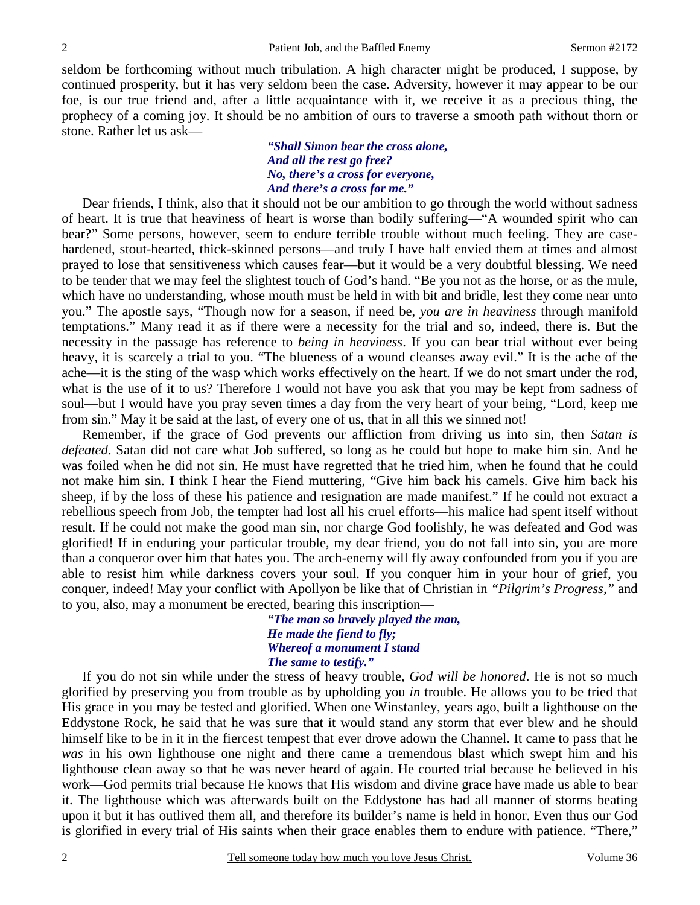seldom be forthcoming without much tribulation. A high character might be produced, I suppose, by continued prosperity, but it has very seldom been the case. Adversity, however it may appear to be our foe, is our true friend and, after a little acquaintance with it, we receive it as a precious thing, the prophecy of a coming joy. It should be no ambition of ours to traverse a smooth path without thorn or stone. Rather let us ask—

> *"Shall Simon bear the cross alone, And all the rest go free? No, there's a cross for everyone, And there's a cross for me."*

Dear friends, I think, also that it should not be our ambition to go through the world without sadness of heart. It is true that heaviness of heart is worse than bodily suffering—"A wounded spirit who can bear?" Some persons, however, seem to endure terrible trouble without much feeling. They are casehardened, stout-hearted, thick-skinned persons—and truly I have half envied them at times and almost prayed to lose that sensitiveness which causes fear—but it would be a very doubtful blessing. We need to be tender that we may feel the slightest touch of God's hand. "Be you not as the horse, or as the mule, which have no understanding, whose mouth must be held in with bit and bridle, lest they come near unto you." The apostle says, "Though now for a season, if need be, *you are in heaviness* through manifold temptations." Many read it as if there were a necessity for the trial and so, indeed, there is. But the necessity in the passage has reference to *being in heaviness*. If you can bear trial without ever being heavy, it is scarcely a trial to you. "The blueness of a wound cleanses away evil." It is the ache of the ache—it is the sting of the wasp which works effectively on the heart. If we do not smart under the rod, what is the use of it to us? Therefore I would not have you ask that you may be kept from sadness of soul—but I would have you pray seven times a day from the very heart of your being, "Lord, keep me from sin." May it be said at the last, of every one of us, that in all this we sinned not!

 Remember, if the grace of God prevents our affliction from driving us into sin, then *Satan is defeated*. Satan did not care what Job suffered, so long as he could but hope to make him sin. And he was foiled when he did not sin. He must have regretted that he tried him, when he found that he could not make him sin. I think I hear the Fiend muttering, "Give him back his camels. Give him back his sheep, if by the loss of these his patience and resignation are made manifest." If he could not extract a rebellious speech from Job, the tempter had lost all his cruel efforts—his malice had spent itself without result. If he could not make the good man sin, nor charge God foolishly, he was defeated and God was glorified! If in enduring your particular trouble, my dear friend, you do not fall into sin, you are more than a conqueror over him that hates you. The arch-enemy will fly away confounded from you if you are able to resist him while darkness covers your soul. If you conquer him in your hour of grief, you conquer, indeed! May your conflict with Apollyon be like that of Christian in *"Pilgrim's Progress,"* and to you, also, may a monument be erected, bearing this inscription—

> *"The man so bravely played the man, He made the fiend to fly; Whereof a monument I stand The same to testify."*

 If you do not sin while under the stress of heavy trouble, *God will be honored*. He is not so much glorified by preserving you from trouble as by upholding you *in* trouble. He allows you to be tried that His grace in you may be tested and glorified. When one Winstanley, years ago, built a lighthouse on the Eddystone Rock, he said that he was sure that it would stand any storm that ever blew and he should himself like to be in it in the fiercest tempest that ever drove adown the Channel. It came to pass that he *was* in his own lighthouse one night and there came a tremendous blast which swept him and his lighthouse clean away so that he was never heard of again. He courted trial because he believed in his work—God permits trial because He knows that His wisdom and divine grace have made us able to bear it. The lighthouse which was afterwards built on the Eddystone has had all manner of storms beating upon it but it has outlived them all, and therefore its builder's name is held in honor. Even thus our God is glorified in every trial of His saints when their grace enables them to endure with patience. "There,"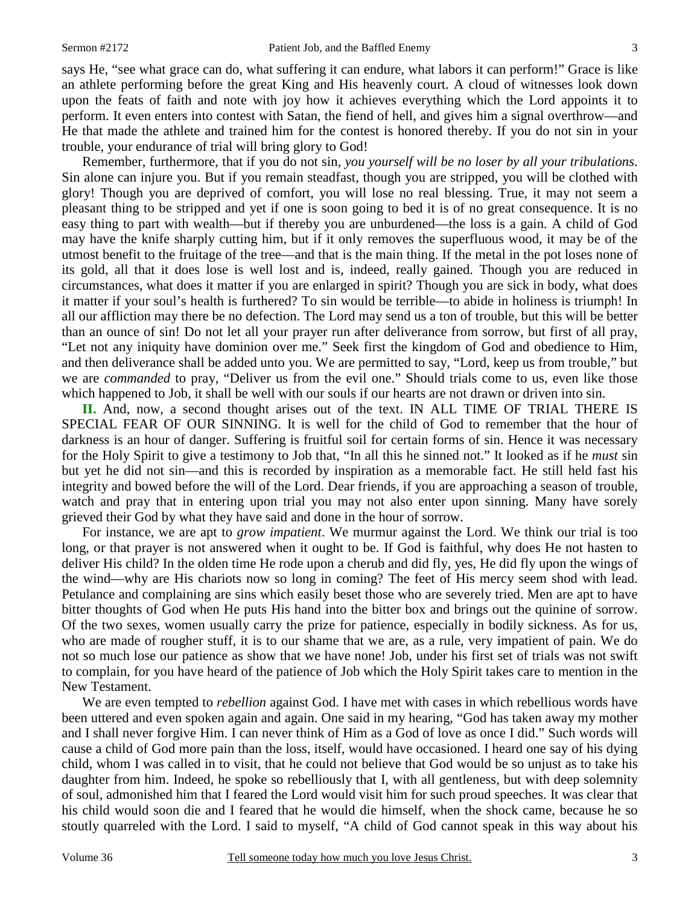says He, "see what grace can do, what suffering it can endure, what labors it can perform!" Grace is like an athlete performing before the great King and His heavenly court. A cloud of witnesses look down upon the feats of faith and note with joy how it achieves everything which the Lord appoints it to perform. It even enters into contest with Satan, the fiend of hell, and gives him a signal overthrow—and He that made the athlete and trained him for the contest is honored thereby. If you do not sin in your trouble, your endurance of trial will bring glory to God!

 Remember, furthermore, that if you do not sin, *you yourself will be no loser by all your tribulations*. Sin alone can injure you. But if you remain steadfast, though you are stripped, you will be clothed with glory! Though you are deprived of comfort, you will lose no real blessing. True, it may not seem a pleasant thing to be stripped and yet if one is soon going to bed it is of no great consequence. It is no easy thing to part with wealth—but if thereby you are unburdened—the loss is a gain. A child of God may have the knife sharply cutting him, but if it only removes the superfluous wood, it may be of the utmost benefit to the fruitage of the tree—and that is the main thing. If the metal in the pot loses none of its gold, all that it does lose is well lost and is, indeed, really gained. Though you are reduced in circumstances, what does it matter if you are enlarged in spirit? Though you are sick in body, what does it matter if your soul's health is furthered? To sin would be terrible—to abide in holiness is triumph! In all our affliction may there be no defection. The Lord may send us a ton of trouble, but this will be better than an ounce of sin! Do not let all your prayer run after deliverance from sorrow, but first of all pray, "Let not any iniquity have dominion over me." Seek first the kingdom of God and obedience to Him, and then deliverance shall be added unto you. We are permitted to say, "Lord, keep us from trouble," but we are *commanded* to pray, "Deliver us from the evil one." Should trials come to us, even like those which happened to Job, it shall be well with our souls if our hearts are not drawn or driven into sin.

**II.** And, now, a second thought arises out of the text. IN ALL TIME OF TRIAL THERE IS SPECIAL FEAR OF OUR SINNING. It is well for the child of God to remember that the hour of darkness is an hour of danger. Suffering is fruitful soil for certain forms of sin. Hence it was necessary for the Holy Spirit to give a testimony to Job that, "In all this he sinned not." It looked as if he *must* sin but yet he did not sin—and this is recorded by inspiration as a memorable fact. He still held fast his integrity and bowed before the will of the Lord. Dear friends, if you are approaching a season of trouble, watch and pray that in entering upon trial you may not also enter upon sinning. Many have sorely grieved their God by what they have said and done in the hour of sorrow.

 For instance, we are apt to *grow impatient*. We murmur against the Lord. We think our trial is too long, or that prayer is not answered when it ought to be. If God is faithful, why does He not hasten to deliver His child? In the olden time He rode upon a cherub and did fly, yes, He did fly upon the wings of the wind—why are His chariots now so long in coming? The feet of His mercy seem shod with lead. Petulance and complaining are sins which easily beset those who are severely tried. Men are apt to have bitter thoughts of God when He puts His hand into the bitter box and brings out the quinine of sorrow. Of the two sexes, women usually carry the prize for patience, especially in bodily sickness. As for us, who are made of rougher stuff, it is to our shame that we are, as a rule, very impatient of pain. We do not so much lose our patience as show that we have none! Job, under his first set of trials was not swift to complain, for you have heard of the patience of Job which the Holy Spirit takes care to mention in the New Testament.

 We are even tempted to *rebellion* against God. I have met with cases in which rebellious words have been uttered and even spoken again and again. One said in my hearing, "God has taken away my mother and I shall never forgive Him. I can never think of Him as a God of love as once I did." Such words will cause a child of God more pain than the loss, itself, would have occasioned. I heard one say of his dying child, whom I was called in to visit, that he could not believe that God would be so unjust as to take his daughter from him. Indeed, he spoke so rebelliously that I, with all gentleness, but with deep solemnity of soul, admonished him that I feared the Lord would visit him for such proud speeches. It was clear that his child would soon die and I feared that he would die himself, when the shock came, because he so stoutly quarreled with the Lord. I said to myself, "A child of God cannot speak in this way about his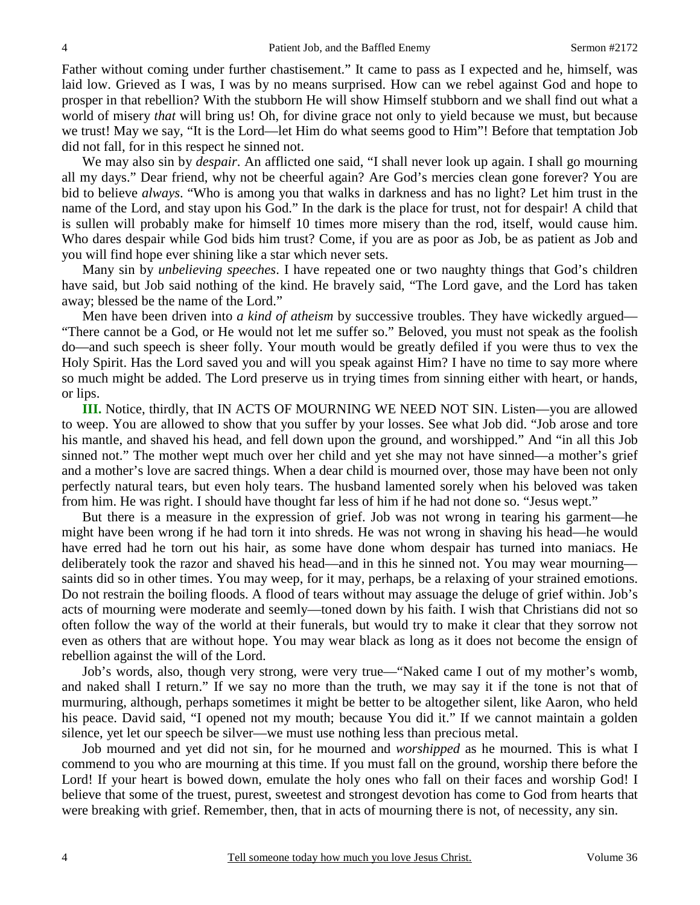Father without coming under further chastisement." It came to pass as I expected and he, himself, was laid low. Grieved as I was, I was by no means surprised. How can we rebel against God and hope to prosper in that rebellion? With the stubborn He will show Himself stubborn and we shall find out what a world of misery *that* will bring us! Oh, for divine grace not only to yield because we must, but because we trust! May we say, "It is the Lord—let Him do what seems good to Him"! Before that temptation Job did not fall, for in this respect he sinned not.

 We may also sin by *despair*. An afflicted one said, "I shall never look up again. I shall go mourning all my days." Dear friend, why not be cheerful again? Are God's mercies clean gone forever? You are bid to believe *always*. "Who is among you that walks in darkness and has no light? Let him trust in the name of the Lord, and stay upon his God." In the dark is the place for trust, not for despair! A child that is sullen will probably make for himself 10 times more misery than the rod, itself, would cause him. Who dares despair while God bids him trust? Come, if you are as poor as Job, be as patient as Job and you will find hope ever shining like a star which never sets.

 Many sin by *unbelieving speeches*. I have repeated one or two naughty things that God's children have said, but Job said nothing of the kind. He bravely said, "The Lord gave, and the Lord has taken away; blessed be the name of the Lord."

 Men have been driven into *a kind of atheism* by successive troubles. They have wickedly argued— "There cannot be a God, or He would not let me suffer so." Beloved, you must not speak as the foolish do—and such speech is sheer folly. Your mouth would be greatly defiled if you were thus to vex the Holy Spirit. Has the Lord saved you and will you speak against Him? I have no time to say more where so much might be added. The Lord preserve us in trying times from sinning either with heart, or hands, or lips.

**III.** Notice, thirdly, that IN ACTS OF MOURNING WE NEED NOT SIN. Listen—you are allowed to weep. You are allowed to show that you suffer by your losses. See what Job did. "Job arose and tore his mantle, and shaved his head, and fell down upon the ground, and worshipped." And "in all this Job sinned not." The mother wept much over her child and yet she may not have sinned—a mother's grief and a mother's love are sacred things. When a dear child is mourned over, those may have been not only perfectly natural tears, but even holy tears. The husband lamented sorely when his beloved was taken from him. He was right. I should have thought far less of him if he had not done so. "Jesus wept."

 But there is a measure in the expression of grief. Job was not wrong in tearing his garment—he might have been wrong if he had torn it into shreds. He was not wrong in shaving his head—he would have erred had he torn out his hair, as some have done whom despair has turned into maniacs. He deliberately took the razor and shaved his head—and in this he sinned not. You may wear mourning saints did so in other times. You may weep, for it may, perhaps, be a relaxing of your strained emotions. Do not restrain the boiling floods. A flood of tears without may assuage the deluge of grief within. Job's acts of mourning were moderate and seemly—toned down by his faith. I wish that Christians did not so often follow the way of the world at their funerals, but would try to make it clear that they sorrow not even as others that are without hope. You may wear black as long as it does not become the ensign of rebellion against the will of the Lord.

 Job's words, also, though very strong, were very true—"Naked came I out of my mother's womb, and naked shall I return." If we say no more than the truth, we may say it if the tone is not that of murmuring, although, perhaps sometimes it might be better to be altogether silent, like Aaron, who held his peace. David said, "I opened not my mouth; because You did it." If we cannot maintain a golden silence, yet let our speech be silver—we must use nothing less than precious metal.

 Job mourned and yet did not sin, for he mourned and *worshipped* as he mourned. This is what I commend to you who are mourning at this time. If you must fall on the ground, worship there before the Lord! If your heart is bowed down, emulate the holy ones who fall on their faces and worship God! I believe that some of the truest, purest, sweetest and strongest devotion has come to God from hearts that were breaking with grief. Remember, then, that in acts of mourning there is not, of necessity, any sin.

4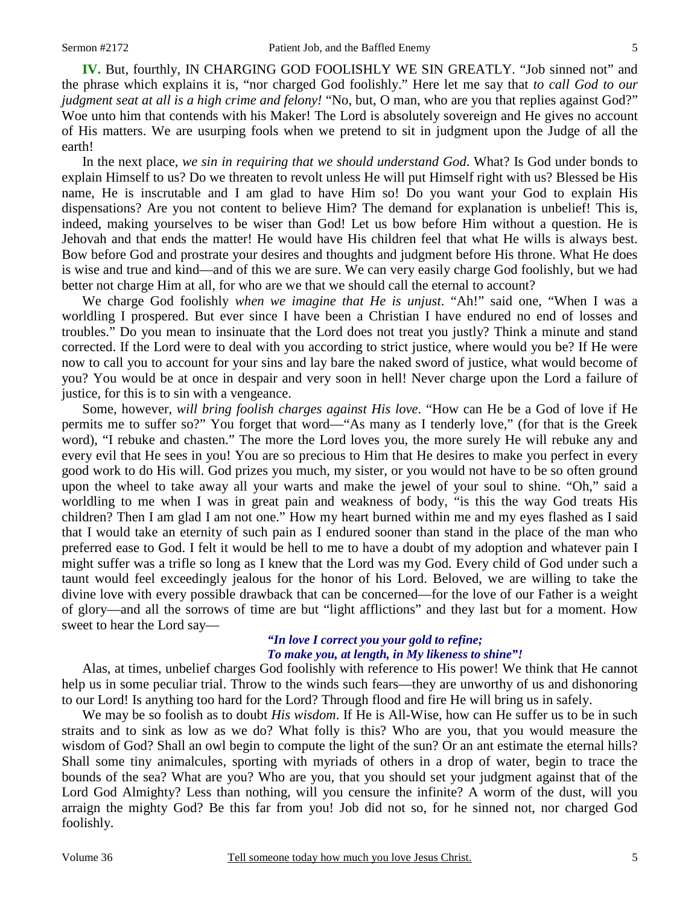**IV.** But, fourthly, IN CHARGING GOD FOOLISHLY WE SIN GREATLY. "Job sinned not" and the phrase which explains it is, "nor charged God foolishly." Here let me say that *to call God to our judgment seat at all is a high crime and felony!* "No, but, O man, who are you that replies against God?" Woe unto him that contends with his Maker! The Lord is absolutely sovereign and He gives no account of His matters. We are usurping fools when we pretend to sit in judgment upon the Judge of all the earth!

 In the next place, *we sin in requiring that we should understand God*. What? Is God under bonds to explain Himself to us? Do we threaten to revolt unless He will put Himself right with us? Blessed be His name, He is inscrutable and I am glad to have Him so! Do you want your God to explain His dispensations? Are you not content to believe Him? The demand for explanation is unbelief! This is, indeed, making yourselves to be wiser than God! Let us bow before Him without a question. He is Jehovah and that ends the matter! He would have His children feel that what He wills is always best. Bow before God and prostrate your desires and thoughts and judgment before His throne. What He does is wise and true and kind—and of this we are sure. We can very easily charge God foolishly, but we had better not charge Him at all, for who are we that we should call the eternal to account?

 We charge God foolishly *when we imagine that He is unjust*. "Ah!" said one, "When I was a worldling I prospered. But ever since I have been a Christian I have endured no end of losses and troubles." Do you mean to insinuate that the Lord does not treat you justly? Think a minute and stand corrected. If the Lord were to deal with you according to strict justice, where would you be? If He were now to call you to account for your sins and lay bare the naked sword of justice, what would become of you? You would be at once in despair and very soon in hell! Never charge upon the Lord a failure of justice, for this is to sin with a vengeance.

 Some, however, *will bring foolish charges against His love*. "How can He be a God of love if He permits me to suffer so?" You forget that word—"As many as I tenderly love," (for that is the Greek word), "I rebuke and chasten." The more the Lord loves you, the more surely He will rebuke any and every evil that He sees in you! You are so precious to Him that He desires to make you perfect in every good work to do His will. God prizes you much, my sister, or you would not have to be so often ground upon the wheel to take away all your warts and make the jewel of your soul to shine. "Oh," said a worldling to me when I was in great pain and weakness of body, "is this the way God treats His children? Then I am glad I am not one." How my heart burned within me and my eyes flashed as I said that I would take an eternity of such pain as I endured sooner than stand in the place of the man who preferred ease to God. I felt it would be hell to me to have a doubt of my adoption and whatever pain I might suffer was a trifle so long as I knew that the Lord was my God. Every child of God under such a taunt would feel exceedingly jealous for the honor of his Lord. Beloved, we are willing to take the divine love with every possible drawback that can be concerned—for the love of our Father is a weight of glory—and all the sorrows of time are but "light afflictions" and they last but for a moment. How sweet to hear the Lord say—

### *"In love I correct you your gold to refine; To make you, at length, in My likeness to shine"!*

 Alas, at times, unbelief charges God foolishly with reference to His power! We think that He cannot help us in some peculiar trial. Throw to the winds such fears—they are unworthy of us and dishonoring to our Lord! Is anything too hard for the Lord? Through flood and fire He will bring us in safely.

 We may be so foolish as to doubt *His wisdom*. If He is All-Wise, how can He suffer us to be in such straits and to sink as low as we do? What folly is this? Who are you, that you would measure the wisdom of God? Shall an owl begin to compute the light of the sun? Or an ant estimate the eternal hills? Shall some tiny animalcules, sporting with myriads of others in a drop of water, begin to trace the bounds of the sea? What are you? Who are you, that you should set your judgment against that of the Lord God Almighty? Less than nothing, will you censure the infinite? A worm of the dust, will you arraign the mighty God? Be this far from you! Job did not so, for he sinned not, nor charged God foolishly.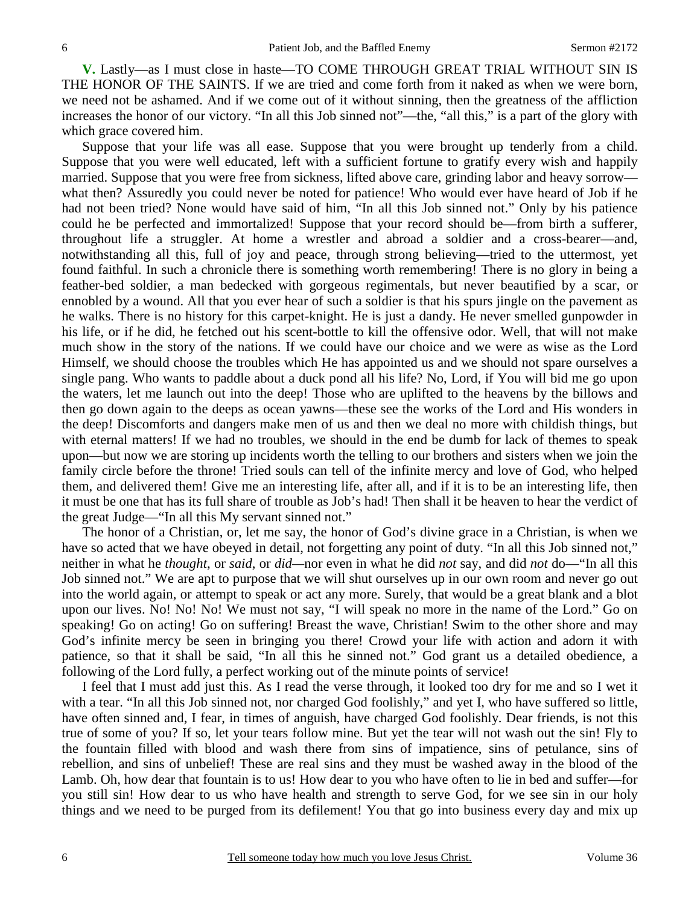**V.** Lastly—as I must close in haste—TO COME THROUGH GREAT TRIAL WITHOUT SIN IS THE HONOR OF THE SAINTS. If we are tried and come forth from it naked as when we were born, we need not be ashamed. And if we come out of it without sinning, then the greatness of the affliction increases the honor of our victory. "In all this Job sinned not"—the, "all this," is a part of the glory with which grace covered him.

 Suppose that your life was all ease. Suppose that you were brought up tenderly from a child. Suppose that you were well educated, left with a sufficient fortune to gratify every wish and happily married. Suppose that you were free from sickness, lifted above care, grinding labor and heavy sorrow what then? Assuredly you could never be noted for patience! Who would ever have heard of Job if he had not been tried? None would have said of him, "In all this Job sinned not." Only by his patience could he be perfected and immortalized! Suppose that your record should be—from birth a sufferer, throughout life a struggler. At home a wrestler and abroad a soldier and a cross-bearer—and, notwithstanding all this, full of joy and peace, through strong believing—tried to the uttermost, yet found faithful. In such a chronicle there is something worth remembering! There is no glory in being a feather-bed soldier, a man bedecked with gorgeous regimentals, but never beautified by a scar, or ennobled by a wound. All that you ever hear of such a soldier is that his spurs jingle on the pavement as he walks. There is no history for this carpet-knight. He is just a dandy. He never smelled gunpowder in his life, or if he did, he fetched out his scent-bottle to kill the offensive odor. Well, that will not make much show in the story of the nations. If we could have our choice and we were as wise as the Lord Himself, we should choose the troubles which He has appointed us and we should not spare ourselves a single pang. Who wants to paddle about a duck pond all his life? No, Lord, if You will bid me go upon the waters, let me launch out into the deep! Those who are uplifted to the heavens by the billows and then go down again to the deeps as ocean yawns—these see the works of the Lord and His wonders in the deep! Discomforts and dangers make men of us and then we deal no more with childish things, but with eternal matters! If we had no troubles, we should in the end be dumb for lack of themes to speak upon—but now we are storing up incidents worth the telling to our brothers and sisters when we join the family circle before the throne! Tried souls can tell of the infinite mercy and love of God, who helped them, and delivered them! Give me an interesting life, after all, and if it is to be an interesting life, then it must be one that has its full share of trouble as Job's had! Then shall it be heaven to hear the verdict of the great Judge—"In all this My servant sinned not."

 The honor of a Christian, or, let me say, the honor of God's divine grace in a Christian, is when we have so acted that we have obeyed in detail, not forgetting any point of duty. "In all this Job sinned not," neither in what he *thought*, or *said*, or *did—*nor even in what he did *not* say, and did *not* do—"In all this Job sinned not." We are apt to purpose that we will shut ourselves up in our own room and never go out into the world again, or attempt to speak or act any more. Surely, that would be a great blank and a blot upon our lives. No! No! No! We must not say, "I will speak no more in the name of the Lord." Go on speaking! Go on acting! Go on suffering! Breast the wave, Christian! Swim to the other shore and may God's infinite mercy be seen in bringing you there! Crowd your life with action and adorn it with patience, so that it shall be said, "In all this he sinned not." God grant us a detailed obedience, a following of the Lord fully, a perfect working out of the minute points of service!

 I feel that I must add just this. As I read the verse through, it looked too dry for me and so I wet it with a tear. "In all this Job sinned not, nor charged God foolishly," and yet I, who have suffered so little, have often sinned and, I fear, in times of anguish, have charged God foolishly. Dear friends, is not this true of some of you? If so, let your tears follow mine. But yet the tear will not wash out the sin! Fly to the fountain filled with blood and wash there from sins of impatience, sins of petulance, sins of rebellion, and sins of unbelief! These are real sins and they must be washed away in the blood of the Lamb. Oh, how dear that fountain is to us! How dear to you who have often to lie in bed and suffer—for you still sin! How dear to us who have health and strength to serve God, for we see sin in our holy things and we need to be purged from its defilement! You that go into business every day and mix up